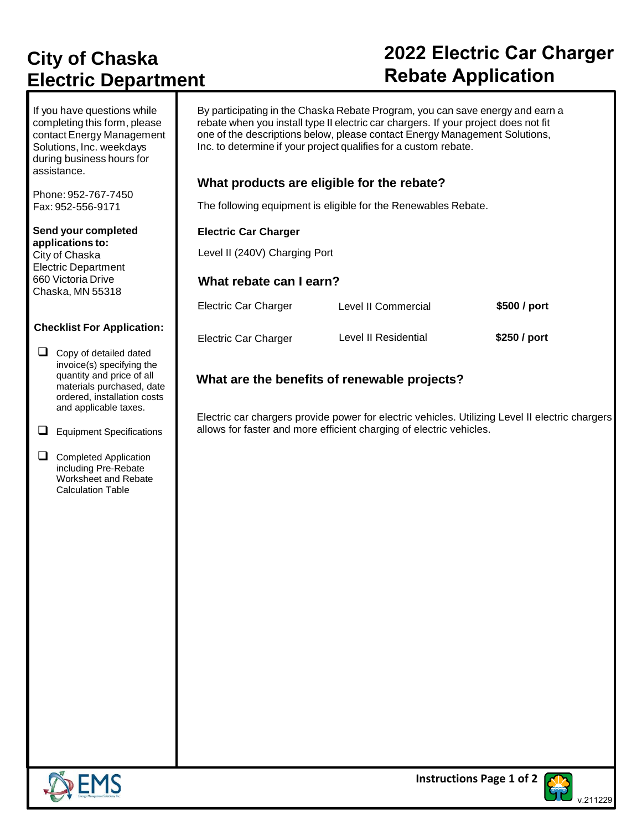# **City of Chaska Electric Department**

#### If you have questions while completing this form, please contact Energy Management Solutions, Inc. weekdays during business hours for assistance.

Phone: 952-767-7450 Fax: 952-556-9171

**Send your completed applications to:** City of Chaska Electric Department 660 Victoria Drive Chaska, MN 55318

#### **Checklist For Application:**

- □ Copy of detailed dated invoice(s) specifying the quantity and price of all materials purchased, date ordered, installation costs and applicable taxes.
- ❑ Equipment Specifications
- □ Completed Application including Pre-Rebate Worksheet and Rebate Calculation Table

By participating in the Chaska Rebate Program, you can save energy and earn a rebate when you install type II electric car chargers. If your project does not fit one of the descriptions below, please contact Energy Management Solutions, Inc. to determine if your project qualifies for a custom rebate.

### **What products are eligible for the rebate?**

The following equipment is eligible for the Renewables Rebate.

#### **Electric Car Charger**

Level II (240V) Charging Port

### **What rebate can I earn?**

| Electric Car Charger | Level II Commercial  | \$500 / port |
|----------------------|----------------------|--------------|
| Electric Car Charger | Level II Residential | \$250 / port |

### **What are the benefits of renewable projects?**

Electric car chargers provide power for electric vehicles. Utilizing Level II electric chargers allows for faster and more efficient charging of electric vehicles.





## **2022 Electric Car Charger Rebate Application**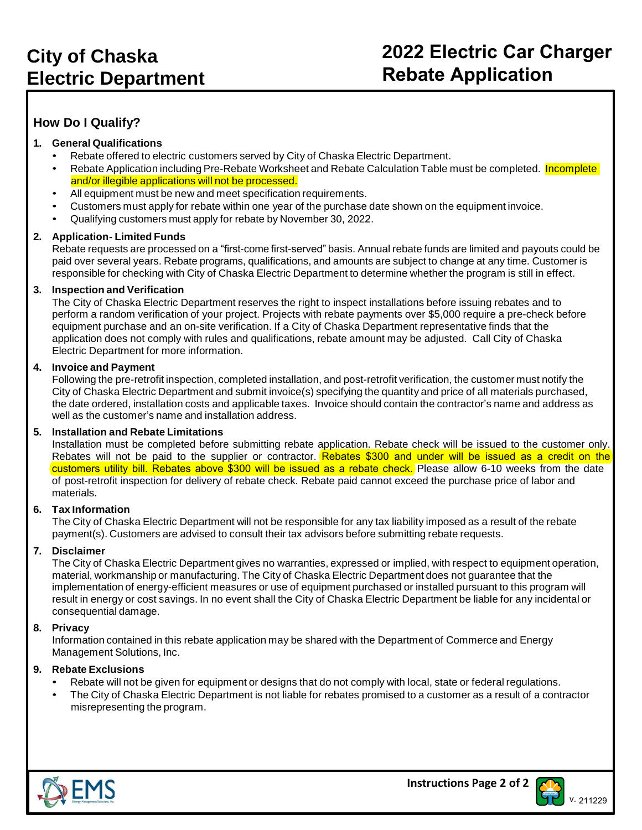## **How Do I Qualify?**

#### **1. General Qualifications**

- Rebate offered to electric customers served by City of Chaska Electric Department.
- Rebate Application including Pre-Rebate Worksheet and Rebate Calculation Table must be completed. Incomplete and/or illegible applications will not be processed.
- All equipment must be new and meet specification requirements.
- Customers must apply for rebate within one year of the purchase date shown on the equipment invoice.
- Qualifying customers must apply for rebate by November 30, 2022.

#### **2. Application- Limited Funds**

Rebate requests are processed on a "first-come first-served" basis. Annual rebate funds are limited and payouts could be paid over several years. Rebate programs, qualifications, and amounts are subject to change at any time. Customer is responsible for checking with City of Chaska Electric Department to determine whether the program is still in effect.

#### **3. Inspection and Verification**

The City of Chaska Electric Department reserves the right to inspect installations before issuing rebates and to perform a random verification of your project. Projects with rebate payments over \$5,000 require a pre-check before equipment purchase and an on-site verification. If a City of Chaska Department representative finds that the application does not comply with rules and qualifications, rebate amount may be adjusted. Call City of Chaska Electric Department for more information.

#### **4. Invoice and Payment**

Following the pre-retrofit inspection, completed installation, and post-retrofit verification, the customer must notify the City of Chaska Electric Department and submit invoice(s) specifying the quantity and price of all materials purchased, the date ordered, installation costs and applicable taxes. Invoice should contain the contractor's name and address as well as the customer's name and installation address.

#### **5. Installation and Rebate Limitations**

Installation must be completed before submitting rebate application. Rebate check will be issued to the customer only. Rebates will not be paid to the supplier or contractor. Rebates \$300 and under will be issued as a credit on the customers utility bill. Rebates above \$300 will be issued as a rebate check. Please allow 6-10 weeks from the date of post-retrofit inspection for delivery of rebate check. Rebate paid cannot exceed the purchase price of labor and materials.

#### **6. Tax Information**

The City of Chaska Electric Department will not be responsible for any tax liability imposed as a result of the rebate payment(s). Customers are advised to consult their tax advisors before submitting rebate requests.

#### **7. Disclaimer**

The City of Chaska Electric Department gives no warranties, expressed or implied, with respect to equipment operation, material, workmanship or manufacturing. The City of Chaska Electric Department does not guarantee that the implementation of energy-efficient measures or use of equipment purchased or installed pursuant to this program will result in energy or cost savings. In no event shall the City of Chaska Electric Department be liable for any incidental or consequential damage.

#### **8. Privacy**

Information contained in this rebate application may be shared with the Department of Commerce and Energy Management Solutions, Inc.

#### **9. Rebate Exclusions**

- Rebate will not be given for equipment or designs that do not comply with local, state or federal regulations.
- The City of Chaska Electric Department is not liable for rebates promised to a customer as a result of a contractor misrepresenting the program.



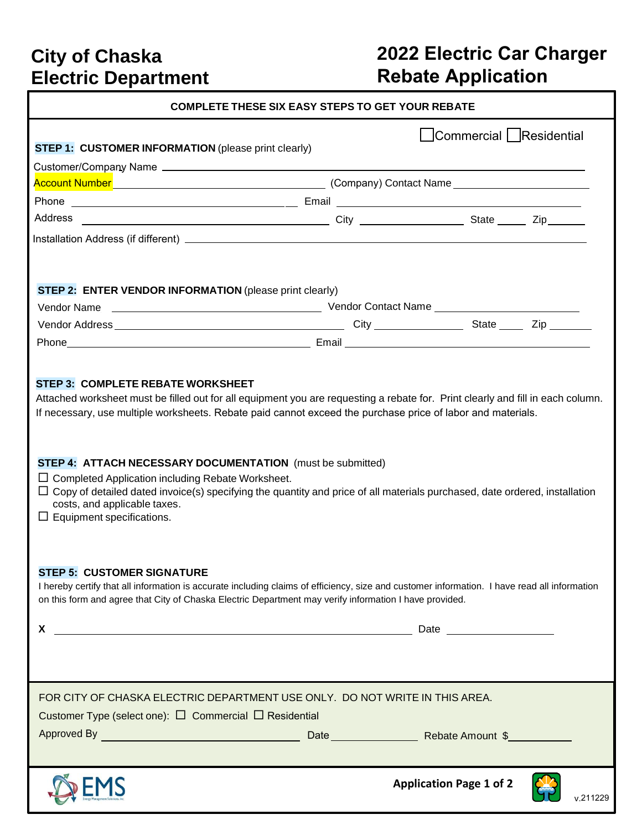## **City of Chaska Electric Department**

# **2022 Electric Car Charger Rebate Application**

| <b>COMPLETE THESE SIX EASY STEPS TO GET YOUR REBATE</b>                                                                                                                                                                                                                                                                                                                                                                                                                                                                                                                                                                                                                                                                                                                                                                                                                               |  |                                            |  |  |  |  |
|---------------------------------------------------------------------------------------------------------------------------------------------------------------------------------------------------------------------------------------------------------------------------------------------------------------------------------------------------------------------------------------------------------------------------------------------------------------------------------------------------------------------------------------------------------------------------------------------------------------------------------------------------------------------------------------------------------------------------------------------------------------------------------------------------------------------------------------------------------------------------------------|--|--------------------------------------------|--|--|--|--|
| <b>STEP 1: CUSTOMER INFORMATION</b> (please print clearly)                                                                                                                                                                                                                                                                                                                                                                                                                                                                                                                                                                                                                                                                                                                                                                                                                            |  | Commercial   Residential                   |  |  |  |  |
|                                                                                                                                                                                                                                                                                                                                                                                                                                                                                                                                                                                                                                                                                                                                                                                                                                                                                       |  |                                            |  |  |  |  |
|                                                                                                                                                                                                                                                                                                                                                                                                                                                                                                                                                                                                                                                                                                                                                                                                                                                                                       |  |                                            |  |  |  |  |
|                                                                                                                                                                                                                                                                                                                                                                                                                                                                                                                                                                                                                                                                                                                                                                                                                                                                                       |  |                                            |  |  |  |  |
|                                                                                                                                                                                                                                                                                                                                                                                                                                                                                                                                                                                                                                                                                                                                                                                                                                                                                       |  |                                            |  |  |  |  |
|                                                                                                                                                                                                                                                                                                                                                                                                                                                                                                                                                                                                                                                                                                                                                                                                                                                                                       |  |                                            |  |  |  |  |
| STEP 2: ENTER VENDOR INFORMATION (please print clearly)                                                                                                                                                                                                                                                                                                                                                                                                                                                                                                                                                                                                                                                                                                                                                                                                                               |  |                                            |  |  |  |  |
|                                                                                                                                                                                                                                                                                                                                                                                                                                                                                                                                                                                                                                                                                                                                                                                                                                                                                       |  |                                            |  |  |  |  |
|                                                                                                                                                                                                                                                                                                                                                                                                                                                                                                                                                                                                                                                                                                                                                                                                                                                                                       |  |                                            |  |  |  |  |
|                                                                                                                                                                                                                                                                                                                                                                                                                                                                                                                                                                                                                                                                                                                                                                                                                                                                                       |  |                                            |  |  |  |  |
| Attached worksheet must be filled out for all equipment you are requesting a rebate for. Print clearly and fill in each column.<br>If necessary, use multiple worksheets. Rebate paid cannot exceed the purchase price of labor and materials.<br>STEP 4: ATTACH NECESSARY DOCUMENTATION (must be submitted)<br>$\Box$ Completed Application including Rebate Worksheet.<br>$\Box$ Copy of detailed dated invoice(s) specifying the quantity and price of all materials purchased, date ordered, installation<br>costs, and applicable taxes.<br>$\Box$ Equipment specifications.<br><b>STEP 5: CUSTOMER SIGNATURE</b><br>I hereby certify that all information is accurate including claims of efficiency, size and customer information. I have read all information<br>on this form and agree that City of Chaska Electric Department may verify information I have provided.<br>X |  |                                            |  |  |  |  |
| FOR CITY OF CHASKA ELECTRIC DEPARTMENT USE ONLY. DO NOT WRITE IN THIS AREA.<br>Customer Type (select one): $\Box$ Commercial $\Box$ Residential                                                                                                                                                                                                                                                                                                                                                                                                                                                                                                                                                                                                                                                                                                                                       |  |                                            |  |  |  |  |
|                                                                                                                                                                                                                                                                                                                                                                                                                                                                                                                                                                                                                                                                                                                                                                                                                                                                                       |  | <b>Application Page 1 of 2</b><br>v.211229 |  |  |  |  |